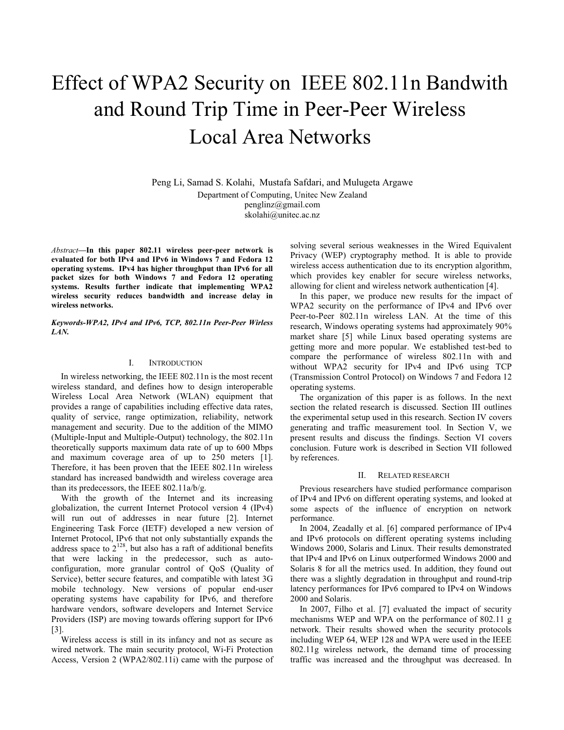# Effect of WPA2 Security on IEEE 802.11n Bandwith and Round Trip Time in Peer-Peer Wireless Local Area Networks

Peng Li, Samad S. Kolahi, Mustafa Safdari, and Mulugeta Argawe Department of Computing, Unitec New Zealand penglinz@gmail.com skolahi@unitec.ac.nz

*Abstract***—In this paper 802.11 wireless peer-peer network is evaluated for both IPv4 and IPv6 in Windows 7 and Fedora 12 operating systems. IPv4 has higher throughput than IPv6 for all packet sizes for both Windows 7 and Fedora 12 operating systems. Results further indicate that implementing WPA2 wireless security reduces bandwidth and increase delay in wireless networks.**

*Keywords-WPA2, IPv4 and IPv6, TCP, 802.11n Peer-Peer Wirless LAN.* 

# I. INTRODUCTION

In wireless networking, the IEEE 802.11n is the most recent wireless standard, and defines how to design interoperable Wireless Local Area Network (WLAN) equipment that provides a range of capabilities including effective data rates, quality of service, range optimization, reliability, network management and security. Due to the addition of the MIMO (Multiple-Input and Multiple-Output) technology, the 802.11n theoretically supports maximum data rate of up to 600 Mbps and maximum coverage area of up to 250 meters [1]. Therefore, it has been proven that the IEEE 802.11n wireless standard has increased bandwidth and wireless coverage area than its predecessors, the IEEE 802.11a/b/g.

With the growth of the Internet and its increasing globalization, the current Internet Protocol version 4 (IPv4) will run out of addresses in near future [2]. Internet Engineering Task Force (IETF) developed a new version of Internet Protocol, IPv6 that not only substantially expands the address space to  $2^{128}$ , but also has a raft of additional benefits that were lacking in the predecessor, such as autoconfiguration, more granular control of QoS (Quality of Service), better secure features, and compatible with latest 3G mobile technology. New versions of popular end-user operating systems have capability for IPv6, and therefore hardware vendors, software developers and Internet Service Providers (ISP) are moving towards offering support for IPv6 [3].

Wireless access is still in its infancy and not as secure as wired network. The main security protocol, Wi-Fi Protection Access, Version 2 (WPA2/802.11i) came with the purpose of solving several serious weaknesses in the Wired Equivalent Privacy (WEP) cryptography method. It is able to provide wireless access authentication due to its encryption algorithm, which provides key enabler for secure wireless networks, allowing for client and wireless network authentication [4].

In this paper, we produce new results for the impact of WPA2 security on the performance of IPv4 and IPv6 over Peer-to-Peer 802.11n wireless LAN. At the time of this research, Windows operating systems had approximately 90% market share [5] while Linux based operating systems are getting more and more popular. We established test-bed to compare the performance of wireless 802.11n with and without WPA2 security for IPv4 and IPv6 using TCP (Transmission Control Protocol) on Windows 7 and Fedora 12 operating systems.

The organization of this paper is as follows. In the next section the related research is discussed. Section III outlines the experimental setup used in this research. Section IV covers generating and traffic measurement tool. In Section V, we present results and discuss the findings. Section VI covers conclusion. Future work is described in Section VII followed by references.

### II. RELATED RESEARCH

Previous researchers have studied performance comparison of IPv4 and IPv6 on different operating systems, and looked at some aspects of the influence of encryption on network performance.

In 2004, Zeadally et al. [6] compared performance of IPv4 and IPv6 protocols on different operating systems including Windows 2000, Solaris and Linux. Their results demonstrated that IPv4 and IPv6 on Linux outperformed Windows 2000 and Solaris 8 for all the metrics used. In addition, they found out there was a slightly degradation in throughput and round-trip latency performances for IPv6 compared to IPv4 on Windows 2000 and Solaris.

In 2007, Filho et al. [7] evaluated the impact of security mechanisms WEP and WPA on the performance of 802.11 g network. Their results showed when the security protocols including WEP 64, WEP 128 and WPA were used in the IEEE 802.11g wireless network, the demand time of processing traffic was increased and the throughput was decreased. In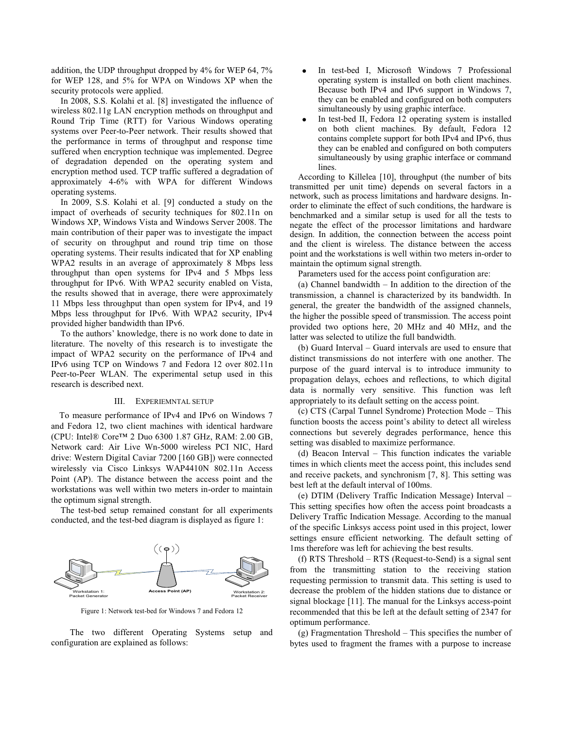addition, the UDP throughput dropped by 4% for WEP 64, 7% for WEP 128, and 5% for WPA on Windows XP when the security protocols were applied.

In 2008, S.S. Kolahi et al. [8] investigated the influence of wireless 802.11g LAN encryption methods on throughput and Round Trip Time (RTT) for Various Windows operating systems over Peer-to-Peer network. Their results showed that the performance in terms of throughput and response time suffered when encryption technique was implemented. Degree of degradation depended on the operating system and encryption method used. TCP traffic suffered a degradation of approximately 4-6% with WPA for different Windows operating systems.

In 2009, S.S. Kolahi et al. [9] conducted a study on the impact of overheads of security techniques for 802.11n on Windows XP, Windows Vista and Windows Server 2008. The main contribution of their paper was to investigate the impact of security on throughput and round trip time on those operating systems. Their results indicated that for XP enabling WPA2 results in an average of approximately 8 Mbps less throughput than open systems for IPv4 and 5 Mbps less throughput for IPv6. With WPA2 security enabled on Vista, the results showed that in average, there were approximately 11 Mbps less throughput than open system for IPv4, and 19 Mbps less throughput for IPv6. With WPA2 security, IPv4 provided higher bandwidth than IPv6.

To the authors' knowledge, there is no work done to date in literature. The novelty of this research is to investigate the impact of WPA2 security on the performance of IPv4 and IPv6 using TCP on Windows 7 and Fedora 12 over 802.11n Peer-to-Peer WLAN. The experimental setup used in this research is described next.

# III. EXPERIEMNTAL SETUP

To measure performance of IPv4 and IPv6 on Windows 7 and Fedora 12, two client machines with identical hardware (CPU: Intel® Core™ 2 Duo 6300 1.87 GHz, RAM: 2.00 GB, Network card: Air Live Wn-5000 wireless PCI NIC, Hard drive: Western Digital Caviar 7200 [160 GB]) were connected wirelessly via Cisco Linksys WAP4410N 802.11n Access Point (AP). The distance between the access point and the workstations was well within two meters in-order to maintain the optimum signal strength.

The test-bed setup remained constant for all experiments conducted, and the test-bed diagram is displayed as figure 1:



Figure 1: Network test-bed for Windows 7 and Fedora 12

The two different Operating Systems setup and configuration are explained as follows:

- In test-bed I, Microsoft Windows 7 Professional operating system is installed on both client machines. Because both IPv4 and IPv6 support in Windows 7, they can be enabled and configured on both computers simultaneously by using graphic interface.
- In test-bed II, Fedora 12 operating system is installed on both client machines. By default, Fedora 12 contains complete support for both IPv4 and IPv6, thus they can be enabled and configured on both computers simultaneously by using graphic interface or command lines.

According to Killelea [10], throughput (the number of bits transmitted per unit time) depends on several factors in a network, such as process limitations and hardware designs. Inorder to eliminate the effect of such conditions, the hardware is benchmarked and a similar setup is used for all the tests to negate the effect of the processor limitations and hardware design. In addition, the connection between the access point and the client is wireless. The distance between the access point and the workstations is well within two meters in-order to maintain the optimum signal strength.

Parameters used for the access point configuration are:

(a) Channel bandwidth – In addition to the direction of the transmission, a channel is characterized by its bandwidth. In general, the greater the bandwidth of the assigned channels, the higher the possible speed of transmission. The access point provided two options here, 20 MHz and 40 MHz, and the latter was selected to utilize the full bandwidth.

(b) Guard Interval – Guard intervals are used to ensure that distinct transmissions do not interfere with one another. The purpose of the guard interval is to introduce immunity to propagation delays, echoes and reflections, to which digital data is normally very sensitive. This function was left appropriately to its default setting on the access point.

(c) CTS (Carpal Tunnel Syndrome) Protection Mode – This function boosts the access point's ability to detect all wireless connections but severely degrades performance, hence this setting was disabled to maximize performance.

(d) Beacon Interval – This function indicates the variable times in which clients meet the access point, this includes send and receive packets, and synchronism [7, 8]. This setting was best left at the default interval of 100ms.

(e) DTIM (Delivery Traffic Indication Message) Interval – This setting specifies how often the access point broadcasts a Delivery Traffic Indication Message. According to the manual of the specific Linksys access point used in this project, lower settings ensure efficient networking. The default setting of 1ms therefore was left for achieving the best results.

(f) RTS Threshold – RTS (Request-to-Send) is a signal sent from the transmitting station to the receiving station requesting permission to transmit data. This setting is used to decrease the problem of the hidden stations due to distance or signal blockage [11]. The manual for the Linksys access-point recommended that this be left at the default setting of 2347 for optimum performance.

(g) Fragmentation Threshold – This specifies the number of bytes used to fragment the frames with a purpose to increase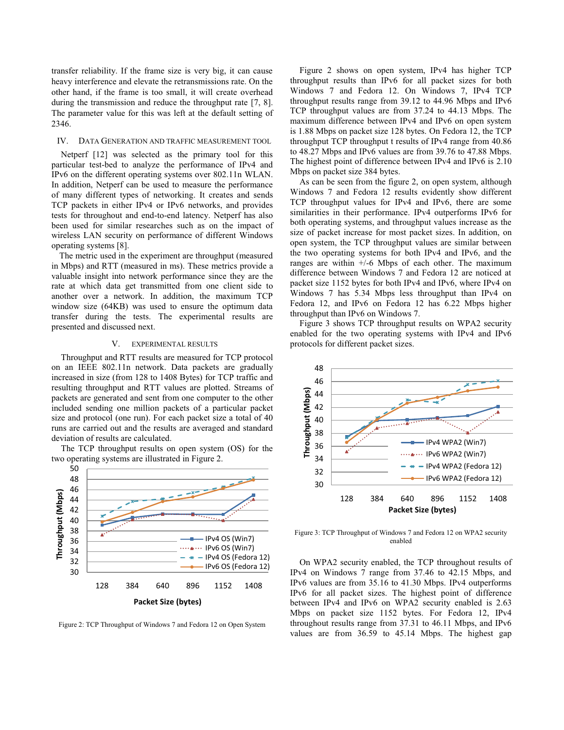transfer reliability. If the frame size is very big, it can cause heavy interference and elevate the retransmissions rate. On the other hand, if the frame is too small, it will create overhead during the transmission and reduce the throughput rate [7, 8]. The parameter value for this was left at the default setting of 2346.

# IV. DATA GENERATION AND TRAFFIC MEASUREMENT TOOL

Netperf [12] was selected as the primary tool for this particular test-bed to analyze the performance of IPv4 and IPv6 on the different operating systems over 802.11n WLAN. In addition, Netperf can be used to measure the performance of many different types of networking. It creates and sends TCP packets in either IPv4 or IPv6 networks, and provides tests for throughout and end-to-end latency. Netperf has also been used for similar researches such as on the impact of wireless LAN security on performance of different Windows operating systems [8].

The metric used in the experiment are throughput (measured in Mbps) and RTT (measured in ms). These metrics provide a valuable insight into network performance since they are the rate at which data get transmitted from one client side to another over a network. In addition, the maximum TCP window size (64KB) was used to ensure the optimum data transfer during the tests. The experimental results are presented and discussed next.

#### V. EXPERIMENTAL RESULTS

Throughput and RTT results are measured for TCP protocol on an IEEE 802.11n network. Data packets are gradually increased in size (from 128 to 1408 Bytes) for TCP traffic and resulting throughput and RTT values are plotted. Streams of packets are generated and sent from one computer to the other included sending one million packets of a particular packet size and protocol (one run). For each packet size a total of 40 runs are carried out and the results are averaged and standard deviation of results are calculated.

The TCP throughput results on open system (OS) for the two operating systems are illustrated in Figure 2.



Figure 2: TCP Throughput of Windows 7 and Fedora 12 on Open System

Figure 2 shows on open system, IPv4 has higher TCP throughput results than IPv6 for all packet sizes for both Windows 7 and Fedora 12. On Windows 7, IPv4 TCP throughput results range from 39.12 to 44.96 Mbps and IPv6 TCP throughput values are from 37.24 to 44.13 Mbps. The maximum difference between IPv4 and IPv6 on open system is 1.88 Mbps on packet size 128 bytes. On Fedora 12, the TCP throughput TCP throughput t results of IPv4 range from 40.86 to 48.27 Mbps and IPv6 values are from 39.76 to 47.88 Mbps. The highest point of difference between IPv4 and IPv6 is 2.10 Mbps on packet size 384 bytes.

As can be seen from the figure 2, on open system, although Windows 7 and Fedora 12 results evidently show different TCP throughput values for IPv4 and IPv6, there are some similarities in their performance. IPv4 outperforms IPv6 for both operating systems, and throughput values increase as the size of packet increase for most packet sizes. In addition, on open system, the TCP throughput values are similar between the two operating systems for both IPv4 and IPv6, and the ranges are within  $+/$ -6 Mbps of each other. The maximum difference between Windows 7 and Fedora 12 are noticed at packet size 1152 bytes for both IPv4 and IPv6, where IPv4 on Windows 7 has 5.34 Mbps less throughput than IPv4 on Fedora 12, and IPv6 on Fedora 12 has 6.22 Mbps higher throughput than IPv6 on Windows 7.

Figure 3 shows TCP throughput results on WPA2 security enabled for the two operating systems with IPv4 and IPv6 protocols for different packet sizes.



Figure 3: TCP Throughput of Windows 7 and Fedora 12 on WPA2 security enabled

On WPA2 security enabled, the TCP throughout results of IPv4 on Windows 7 range from 37.46 to 42.15 Mbps, and IPv6 values are from 35.16 to 41.30 Mbps. IPv4 outperforms IPv6 for all packet sizes. The highest point of difference between IPv4 and IPv6 on WPA2 security enabled is 2.63 Mbps on packet size 1152 bytes. For Fedora 12, IPv4 throughout results range from 37.31 to 46.11 Mbps, and IPv6 values are from 36.59 to 45.14 Mbps. The highest gap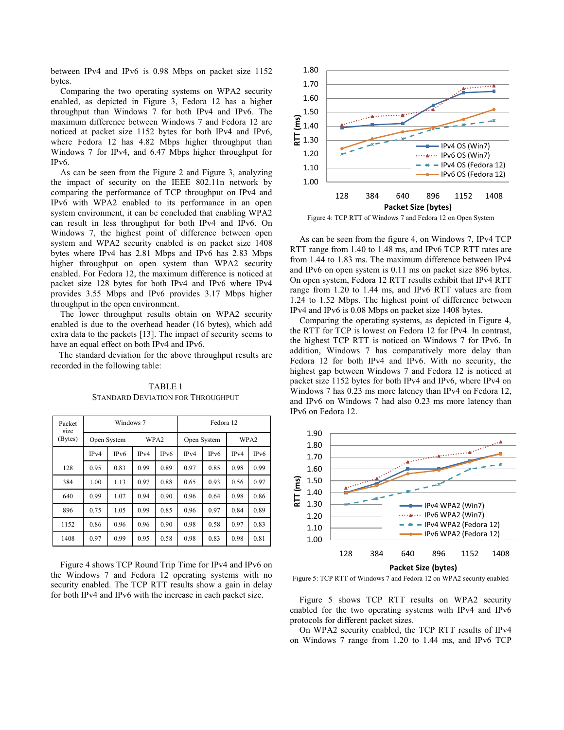between IPv4 and IPv6 is 0.98 Mbps on packet size 1152 bytes.

Comparing the two operating systems on WPA2 security enabled, as depicted in Figure 3, Fedora 12 has a higher throughput than Windows 7 for both IPv4 and IPv6. The maximum difference between Windows 7 and Fedora 12 are noticed at packet size 1152 bytes for both IPv4 and IPv6, where Fedora 12 has 4.82 Mbps higher throughput than Windows 7 for IPv4, and 6.47 Mbps higher throughput for IPv6.

As can be seen from the Figure 2 and Figure 3, analyzing the impact of security on the IEEE 802.11n network by comparing the performance of TCP throughput on IPv4 and IPv6 with WPA2 enabled to its performance in an open system environment, it can be concluded that enabling WPA2 can result in less throughput for both IPv4 and IPv6. On Windows 7, the highest point of difference between open system and WPA2 security enabled is on packet size 1408 bytes where IPv4 has 2.81 Mbps and IPv6 has 2.83 Mbps higher throughput on open system than WPA2 security enabled. For Fedora 12, the maximum difference is noticed at packet size 128 bytes for both IPv4 and IPv6 where IPv4 provides 3.55 Mbps and IPv6 provides 3.17 Mbps higher throughput in the open environment.

The lower throughput results obtain on WPA2 security enabled is due to the overhead header (16 bytes), which add extra data to the packets [13]. The impact of security seems to have an equal effect on both IPv4 and IPv6.

The standard deviation for the above throughput results are recorded in the following table:

Packet size (Bytes) Windows 7 Fedora 12 Open System WPA2 Open System WPA2 IPv4 IPv6 IPv4 IPv6 IPv4 IPv6 IPv4 IPv6 128 0.95 0.83 0.99 0.89 0.97 0.85 0.98 0.99 384 1.00 1.13 0.97 0.88 0.65 0.93 0.56 0.97 640 0.99 1.07 0.94 0.90 0.96 0.64 0.98 0.86 896 0.75 1.05 0.99 0.85 0.96 0.97 0.84 0.89 1152 0.86 0.96 0.96 0.90 0.98 0.58 0.97 0.83 1408 0.97 0.99 0.95 0.58 0.98 0.83 0.98 0.81

TABLE 1 STANDARD DEVIATION FOR THROUGHPUT

Figure 4 shows TCP Round Trip Time for IPv4 and IPv6 on the Windows 7 and Fedora 12 operating systems with no security enabled. The TCP RTT results show a gain in delay for both IPv4 and IPv6 with the increase in each packet size.



Figure 4: TCP RTT of Windows 7 and Fedora 12 on Open System

As can be seen from the figure 4, on Windows 7, IPv4 TCP RTT range from 1.40 to 1.48 ms, and IPv6 TCP RTT rates are from 1.44 to 1.83 ms. The maximum difference between IPv4 and IPv6 on open system is 0.11 ms on packet size 896 bytes. On open system, Fedora 12 RTT results exhibit that IPv4 RTT range from 1.20 to 1.44 ms, and IPv6 RTT values are from 1.24 to 1.52 Mbps. The highest point of difference between IPv4 and IPv6 is 0.08 Mbps on packet size 1408 bytes.

Comparing the operating systems, as depicted in Figure 4, the RTT for TCP is lowest on Fedora 12 for IPv4. In contrast, the highest TCP RTT is noticed on Windows 7 for IPv6. In addition, Windows 7 has comparatively more delay than Fedora 12 for both IPv4 and IPv6. With no security, the highest gap between Windows 7 and Fedora 12 is noticed at packet size 1152 bytes for both IPv4 and IPv6, where IPv4 on Windows 7 has 0.23 ms more latency than IPv4 on Fedora 12, and IPv6 on Windows 7 had also 0.23 ms more latency than IPv6 on Fedora 12.



Figure 5: TCP RTT of Windows 7 and Fedora 12 on WPA2 security enabled

Figure 5 shows TCP RTT results on WPA2 security enabled for the two operating systems with IPv4 and IPv6 protocols for different packet sizes.

On WPA2 security enabled, the TCP RTT results of IPv4 on Windows 7 range from 1.20 to 1.44 ms, and IPv6 TCP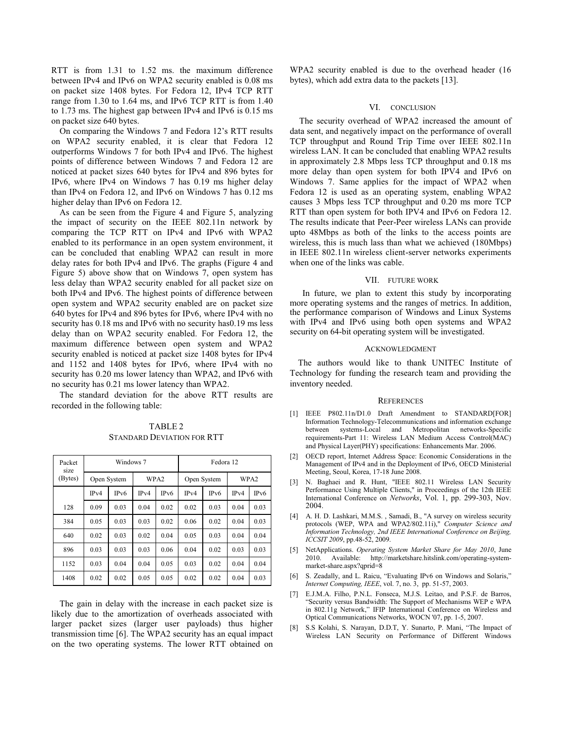RTT is from 1.31 to 1.52 ms. the maximum difference between IPv4 and IPv6 on WPA2 security enabled is 0.08 ms on packet size 1408 bytes. For Fedora 12, IPv4 TCP RTT range from 1.30 to 1.64 ms, and IPv6 TCP RTT is from 1.40 to 1.73 ms. The highest gap between IPv4 and IPv6 is 0.15 ms on packet size 640 bytes.

On comparing the Windows 7 and Fedora 12's RTT results on WPA2 security enabled, it is clear that Fedora 12 outperforms Windows 7 for both IPv4 and IPv6. The highest points of difference between Windows 7 and Fedora 12 are noticed at packet sizes 640 bytes for IPv4 and 896 bytes for IPv6, where IPv4 on Windows 7 has 0.19 ms higher delay than IPv4 on Fedora 12, and IPv6 on Windows 7 has 0.12 ms higher delay than IPv6 on Fedora 12.

As can be seen from the Figure 4 and Figure 5, analyzing the impact of security on the IEEE 802.11n network by comparing the TCP RTT on IPv4 and IPv6 with WPA2 enabled to its performance in an open system environment, it can be concluded that enabling WPA2 can result in more delay rates for both IPv4 and IPv6. The graphs (Figure 4 and Figure 5) above show that on Windows 7, open system has less delay than WPA2 security enabled for all packet size on both IPv4 and IPv6. The highest points of difference between open system and WPA2 security enabled are on packet size 640 bytes for IPv4 and 896 bytes for IPv6, where IPv4 with no security has  $0.18$  ms and IPv6 with no security has  $0.19$  ms less delay than on WPA2 security enabled. For Fedora 12, the maximum difference between open system and WPA2 security enabled is noticed at packet size 1408 bytes for IPv4 and 1152 and 1408 bytes for IPv6, where IPv4 with no security has 0.20 ms lower latency than WPA2, and IPv6 with no security has 0.21 ms lower latency than WPA2.

The standard deviation for the above RTT results are recorded in the following table:

| TABLE 2                           |
|-----------------------------------|
| <b>STANDARD DEVIATION FOR RTT</b> |

| Packet<br>size | Windows 7   |      |                  |      | Fedora 12   |                   |                  |                   |
|----------------|-------------|------|------------------|------|-------------|-------------------|------------------|-------------------|
| (Bytes)        | Open System |      | WPA <sub>2</sub> |      | Open System |                   | WPA <sub>2</sub> |                   |
|                | IPv4        | IPv6 | IPv4             | IPv6 | IPv4        | IP <sub>v</sub> 6 | IPv4             | IP <sub>v</sub> 6 |
| 128            | 0.09        | 0.03 | 0.04             | 0.02 | 0.02        | 0.03              | 0.04             | 0.03              |
| 384            | 0.05        | 0.03 | 0.03             | 0.02 | 0.06        | 0.02              | 0.04             | 0.03              |
| 640            | 0.02        | 0.03 | 0.02             | 0.04 | 0.05        | 0.03              | 0.04             | 0.04              |
| 896            | 0.03        | 0.03 | 0.03             | 0.06 | 0.04        | 0.02              | 0.03             | 0.03              |
| 1152           | 0.03        | 0.04 | 0.04             | 0.05 | 0.03        | 0.02              | 0.04             | 0.04              |
| 1408           | 0.02        | 0.02 | 0.05             | 0.05 | 0.02        | 0.02              | 0.04             | 0.03              |

The gain in delay with the increase in each packet size is likely due to the amortization of overheads associated with larger packet sizes (larger user payloads) thus higher transmission time [6]. The WPA2 security has an equal impact on the two operating systems. The lower RTT obtained on WPA2 security enabled is due to the overhead header (16 bytes), which add extra data to the packets [13].

# VI. CONCLUSION

The security overhead of WPA2 increased the amount of data sent, and negatively impact on the performance of overall TCP throughput and Round Trip Time over IEEE 802.11n wireless LAN. It can be concluded that enabling WPA2 results in approximately 2.8 Mbps less TCP throughput and 0.18 ms more delay than open system for both IPV4 and IPv6 on Windows 7. Same applies for the impact of WPA2 when Fedora 12 is used as an operating system, enabling WPA2 causes 3 Mbps less TCP throughput and 0.20 ms more TCP RTT than open system for both IPV4 and IPv6 on Fedora 12. The results indicate that Peer-Peer wireless LANs can provide upto 48Mbps as both of the links to the access points are wireless, this is much lass than what we achieved (180Mbps) in IEEE 802.11n wireless client-server networks experiments when one of the links was cable.

#### VII. FUTURE WORK

In future, we plan to extent this study by incorporating more operating systems and the ranges of metrics. In addition, the performance comparison of Windows and Linux Systems with IPv4 and IPv6 using both open systems and WPA2 security on 64-bit operating system will be investigated.

### ACKNOWLEDGMENT

The authors would like to thank UNITEC Institute of Technology for funding the research team and providing the inventory needed.

#### **REFERENCES**

- [1] IEEE P802.11n/D1.0 Draft Amendment to STANDARD[FOR] Information Technology-Telecommunications and information exchange between systems-Local and Metropolitan networks-Specific requirements-Part 11: Wireless LAN Medium Access Control(MAC) and Physical Layer(PHY) specifications: Enhancements Mar. 2006.
- [2] OECD report, Internet Address Space: Economic Considerations in the Management of IPv4 and in the Deployment of IPv6, OECD Ministerial Meeting, Seoul, Korea, 17-18 June 2008.
- [3] N. Baghaei and R. Hunt, "IEEE 802.11 Wireless LAN Security Performance Using Multiple Clients," in Proceedings of the 12th IEEE International Conference on *Networks*, Vol. 1, pp. 299-303, Nov. 2004.
- [4] A. H. D. Lashkari, M.M.S. , Samadi, B., "A survey on wireless security protocols (WEP, WPA and WPA2/802.11i)," *Computer Science and Information Technology, 2nd IEEE International Conference on Beijing, ICCSIT 2009*, pp.48-52, 2009.
- [5] NetApplications. *Operating System Market Share for May 2010*, June 2010. Available: http://marketshare.hitslink.com/operating-systemmarket-share.aspx?qprid=8
- [6] S. Zeadally, and L. Raicu, "Evaluating IPv6 on Windows and Solaris," *Internet Computing, IEEE*, vol. 7, no. 3, pp. 51-57, 2003.
- [7] E.J.M.A. Filho, P.N.L. Fonseca, M.J.S. Leitao, and P.S.F. de Barros, "Security versus Bandwidth: The Support of Mechanisms WEP e WPA in 802.11g Network," IFIP International Conference on Wireless and Optical Communications Networks, WOCN '07, pp. 1-5, 2007.
- [8] S.S Kolahi, S. Narayan, D.D.T, Y. Sunarto, P. Mani, "The Impact of Wireless LAN Security on Performance of Different Windows